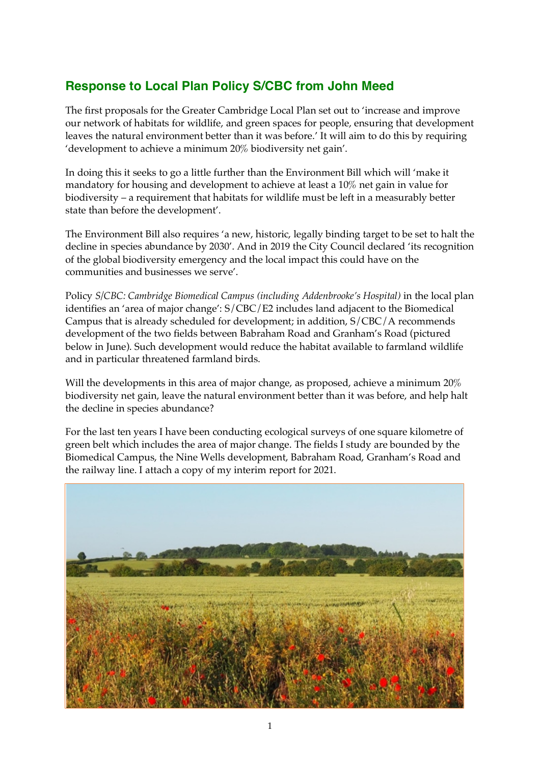# **Response to Local Plan Policy S/CBC from John Meed**

The first proposals for the Greater Cambridge Local Plan set out to 'increase and improve our network of habitats for wildlife, and green spaces for people, ensuring that development leaves the natural environment better than it was before.' It will aim to do this by requiring 'development to achieve a minimum 20% biodiversity net gain'.

In doing this it seeks to go a little further than the Environment Bill which will 'make it mandatory for housing and development to achieve at least a 10% net gain in value for biodiversity – a requirement that habitats for wildlife must be left in a measurably better state than before the development'.

The Environment Bill also requires 'a new, historic, legally binding target to be set to halt the decline in species abundance by 2030'. And in 2019 the City Council declared 'its recognition of the global biodiversity emergency and the local impact this could have on the communities and businesses we serve'.

Policy *S/CBC: Cambridge Biomedical Campus (including Addenbrooke's Hospital)* in the local plan identifies an 'area of major change': S/CBC/E2 includes land adjacent to the Biomedical Campus that is already scheduled for development; in addition, S/CBC/A recommends development of the two fields between Babraham Road and Granham's Road (pictured below in June). Such development would reduce the habitat available to farmland wildlife and in particular threatened farmland birds.

Will the developments in this area of major change, as proposed, achieve a minimum 20% biodiversity net gain, leave the natural environment better than it was before, and help halt the decline in species abundance?

For the last ten years I have been conducting ecological surveys of one square kilometre of green belt which includes the area of major change. The fields I study are bounded by the Biomedical Campus, the Nine Wells development, Babraham Road, Granham's Road and the railway line. I attach a copy of my interim report for 2021.

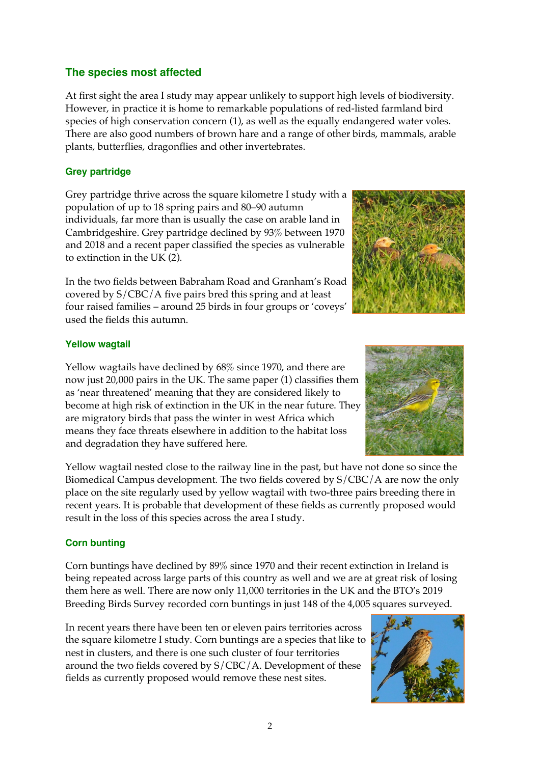## **The species most affected**

At first sight the area I study may appear unlikely to support high levels of biodiversity. However, in practice it is home to remarkable populations of red-listed farmland bird species of high conservation concern (1), as well as the equally endangered water voles. There are also good numbers of brown hare and a range of other birds, mammals, arable plants, butterflies, dragonflies and other invertebrates.

#### **Grey partridge**

Grey partridge thrive across the square kilometre I study with a population of up to 18 spring pairs and 80–90 autumn individuals, far more than is usually the case on arable land in Cambridgeshire. Grey partridge declined by 93% between 1970 and 2018 and a recent paper classified the species as vulnerable to extinction in the UK (2).

In the two fields between Babraham Road and Granham's Road covered by S/CBC/A five pairs bred this spring and at least four raised families – around 25 birds in four groups or 'coveys' used the fields this autumn.



#### **Yellow wagtail**

Yellow wagtails have declined by 68% since 1970, and there are now just 20,000 pairs in the UK. The same paper (1) classifies them as 'near threatened' meaning that they are considered likely to become at high risk of extinction in the UK in the near future. They are migratory birds that pass the winter in west Africa which means they face threats elsewhere in addition to the habitat loss and degradation they have suffered here.

Yellow wagtail nested close to the railway line in the past, but have not done so since the Biomedical Campus development. The two fields covered by S/CBC/A are now the only place on the site regularly used by yellow wagtail with two-three pairs breeding there in recent years. It is probable that development of these fields as currently proposed would result in the loss of this species across the area I study.

### **Corn bunting**

Corn buntings have declined by 89% since 1970 and their recent extinction in Ireland is being repeated across large parts of this country as well and we are at great risk of losing them here as well. There are now only 11,000 territories in the UK and the BTO's 2019 Breeding Birds Survey recorded corn buntings in just 148 of the 4,005 squares surveyed.

In recent years there have been ten or eleven pairs territories across the square kilometre I study. Corn buntings are a species that like to nest in clusters, and there is one such cluster of four territories around the two fields covered by S/CBC/A. Development of these fields as currently proposed would remove these nest sites.

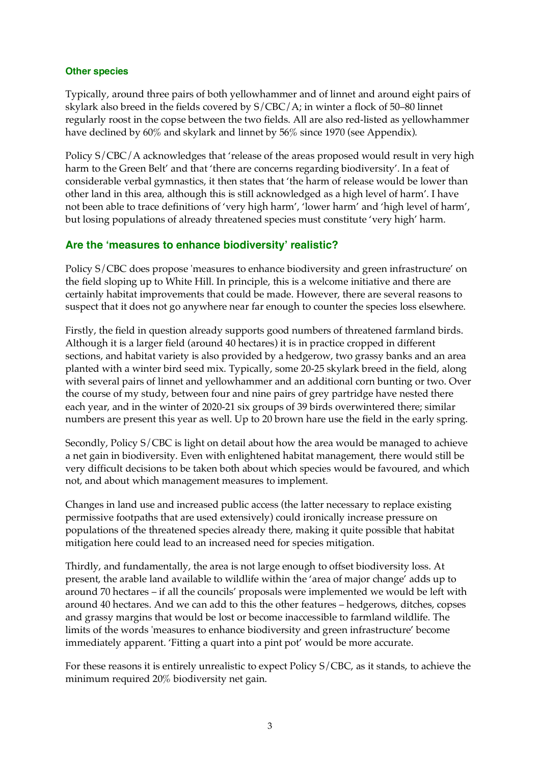#### **Other species**

Typically, around three pairs of both yellowhammer and of linnet and around eight pairs of skylark also breed in the fields covered by S/CBC/A; in winter a flock of 50–80 linnet regularly roost in the copse between the two fields. All are also red-listed as yellowhammer have declined by 60% and skylark and linnet by 56% since 1970 (see Appendix).

Policy S/CBC/A acknowledges that 'release of the areas proposed would result in very high harm to the Green Belt' and that 'there are concerns regarding biodiversity'. In a feat of considerable verbal gymnastics, it then states that 'the harm of release would be lower than other land in this area, although this is still acknowledged as a high level of harm'. I have not been able to trace definitions of 'very high harm', 'lower harm' and 'high level of harm', but losing populations of already threatened species must constitute 'very high' harm.

### **Are the 'measures to enhance biodiversity' realistic?**

Policy S/CBC does propose 'measures to enhance biodiversity and green infrastructure' on the field sloping up to White Hill. In principle, this is a welcome initiative and there are certainly habitat improvements that could be made. However, there are several reasons to suspect that it does not go anywhere near far enough to counter the species loss elsewhere.

Firstly, the field in question already supports good numbers of threatened farmland birds. Although it is a larger field (around 40 hectares) it is in practice cropped in different sections, and habitat variety is also provided by a hedgerow, two grassy banks and an area planted with a winter bird seed mix. Typically, some 20-25 skylark breed in the field, along with several pairs of linnet and yellowhammer and an additional corn bunting or two. Over the course of my study, between four and nine pairs of grey partridge have nested there each year, and in the winter of 2020-21 six groups of 39 birds overwintered there; similar numbers are present this year as well. Up to 20 brown hare use the field in the early spring.

Secondly, Policy S/CBC is light on detail about how the area would be managed to achieve a net gain in biodiversity. Even with enlightened habitat management, there would still be very difficult decisions to be taken both about which species would be favoured, and which not, and about which management measures to implement.

Changes in land use and increased public access (the latter necessary to replace existing permissive footpaths that are used extensively) could ironically increase pressure on populations of the threatened species already there, making it quite possible that habitat mitigation here could lead to an increased need for species mitigation.

Thirdly, and fundamentally, the area is not large enough to offset biodiversity loss. At present, the arable land available to wildlife within the 'area of major change' adds up to around 70 hectares – if all the councils' proposals were implemented we would be left with around 40 hectares. And we can add to this the other features – hedgerows, ditches, copses and grassy margins that would be lost or become inaccessible to farmland wildlife. The limits of the words 'measures to enhance biodiversity and green infrastructure' become immediately apparent. 'Fitting a quart into a pint pot' would be more accurate.

For these reasons it is entirely unrealistic to expect Policy S/CBC, as it stands, to achieve the minimum required 20% biodiversity net gain.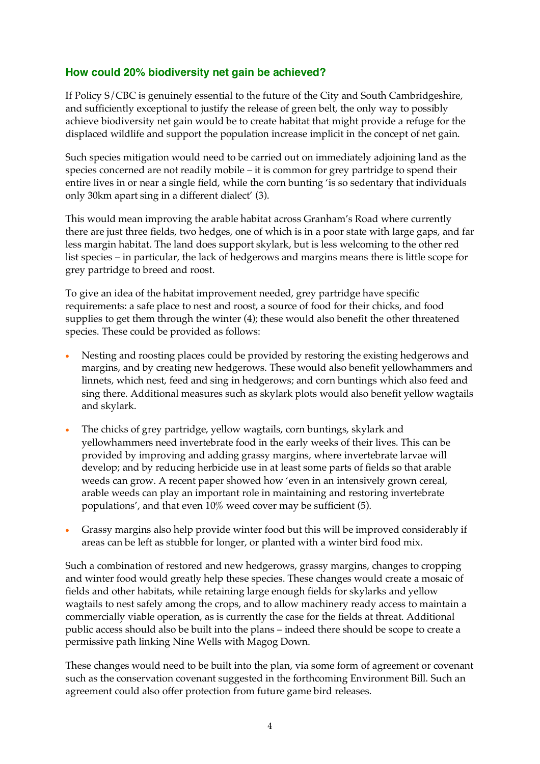# **How could 20% biodiversity net gain be achieved?**

If Policy S/CBC is genuinely essential to the future of the City and South Cambridgeshire, and sufficiently exceptional to justify the release of green belt, the only way to possibly achieve biodiversity net gain would be to create habitat that might provide a refuge for the displaced wildlife and support the population increase implicit in the concept of net gain.

Such species mitigation would need to be carried out on immediately adjoining land as the species concerned are not readily mobile – it is common for grey partridge to spend their entire lives in or near a single field, while the corn bunting 'is so sedentary that individuals only 30km apart sing in a different dialect' (3).

This would mean improving the arable habitat across Granham's Road where currently there are just three fields, two hedges, one of which is in a poor state with large gaps, and far less margin habitat. The land does support skylark, but is less welcoming to the other red list species – in particular, the lack of hedgerows and margins means there is little scope for grey partridge to breed and roost.

To give an idea of the habitat improvement needed, grey partridge have specific requirements: a safe place to nest and roost, a source of food for their chicks, and food supplies to get them through the winter (4); these would also benefit the other threatened species. These could be provided as follows:

- Nesting and roosting places could be provided by restoring the existing hedgerows and margins, and by creating new hedgerows. These would also benefit yellowhammers and linnets, which nest, feed and sing in hedgerows; and corn buntings which also feed and sing there. Additional measures such as skylark plots would also benefit yellow wagtails and skylark.
- The chicks of grey partridge, yellow wagtails, corn buntings, skylark and yellowhammers need invertebrate food in the early weeks of their lives. This can be provided by improving and adding grassy margins, where invertebrate larvae will develop; and by reducing herbicide use in at least some parts of fields so that arable weeds can grow. A recent paper showed how 'even in an intensively grown cereal, arable weeds can play an important role in maintaining and restoring invertebrate populations', and that even 10% weed cover may be sufficient (5).
- Grassy margins also help provide winter food but this will be improved considerably if areas can be left as stubble for longer, or planted with a winter bird food mix.

Such a combination of restored and new hedgerows, grassy margins, changes to cropping and winter food would greatly help these species. These changes would create a mosaic of fields and other habitats, while retaining large enough fields for skylarks and yellow wagtails to nest safely among the crops, and to allow machinery ready access to maintain a commercially viable operation, as is currently the case for the fields at threat. Additional public access should also be built into the plans – indeed there should be scope to create a permissive path linking Nine Wells with Magog Down.

These changes would need to be built into the plan, via some form of agreement or covenant such as the conservation covenant suggested in the forthcoming Environment Bill. Such an agreement could also offer protection from future game bird releases.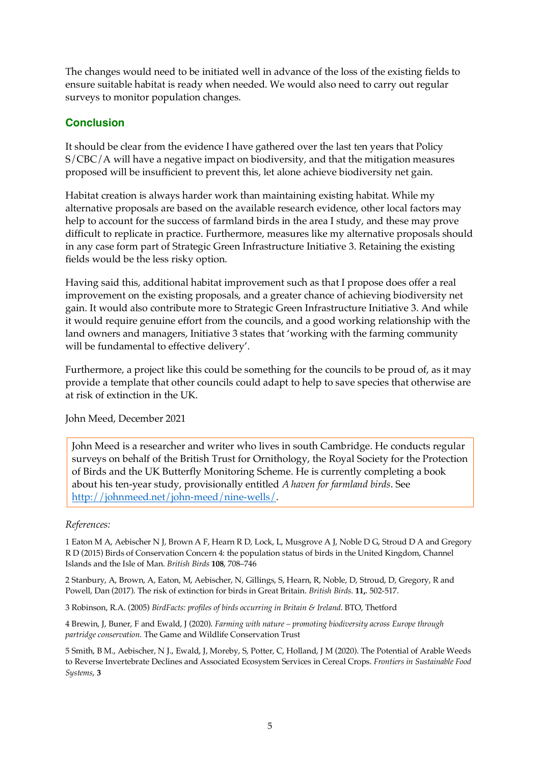The changes would need to be initiated well in advance of the loss of the existing fields to ensure suitable habitat is ready when needed. We would also need to carry out regular surveys to monitor population changes.

# **Conclusion**

It should be clear from the evidence I have gathered over the last ten years that Policy S/CBC/A will have a negative impact on biodiversity, and that the mitigation measures proposed will be insufficient to prevent this, let alone achieve biodiversity net gain.

Habitat creation is always harder work than maintaining existing habitat. While my alternative proposals are based on the available research evidence, other local factors may help to account for the success of farmland birds in the area I study, and these may prove difficult to replicate in practice. Furthermore, measures like my alternative proposals should in any case form part of Strategic Green Infrastructure Initiative 3. Retaining the existing fields would be the less risky option.

Having said this, additional habitat improvement such as that I propose does offer a real improvement on the existing proposals, and a greater chance of achieving biodiversity net gain. It would also contribute more to Strategic Green Infrastructure Initiative 3. And while it would require genuine effort from the councils, and a good working relationship with the land owners and managers, Initiative 3 states that 'working with the farming community will be fundamental to effective delivery'.

Furthermore, a project like this could be something for the councils to be proud of, as it may provide a template that other councils could adapt to help to save species that otherwise are at risk of extinction in the UK.

John Meed, December 2021

John Meed is a researcher and writer who lives in south Cambridge. He conducts regular surveys on behalf of the British Trust for Ornithology, the Royal Society for the Protection of Birds and the UK Butterfly Monitoring Scheme. He is currently completing a book about his ten-year study, provisionally entitled *A haven for farmland birds*. See http://johnmeed.net/john-meed/nine-wells/.

#### *References:*

1 Eaton M A, Aebischer N J, Brown A F, Hearn R D, Lock, L, Musgrove A J, Noble D G, Stroud D A and Gregory R D (2015) Birds of Conservation Concern 4: the population status of birds in the United Kingdom, Channel Islands and the Isle of Man. *British Birds* **108**, 708–746

2 Stanbury, A, Brown, A, Eaton, M, Aebischer, N, Gillings, S, Hearn, R, Noble, D, Stroud, D, Gregory, R and Powell, Dan (2017). The risk of extinction for birds in Great Britain. *British Birds*. **11,**. 502-517.

3 Robinson, R.A. (2005) *BirdFacts: profiles of birds occurring in Britain & Ireland*. BTO, Thetford

4 Brewin, J, Buner, F and Ewald, J (2020). *Farming with nature – promoting biodiversity across Europe through partridge conservation*. The Game and Wildlife Conservation Trust

5 Smith, B M., Aebischer, N J., Ewald, J, Moreby, S, Potter, C, Holland, J M (2020). The Potential of Arable Weeds to Reverse Invertebrate Declines and Associated Ecosystem Services in Cereal Crops. *Frontiers in Sustainable Food Systems*, **3**